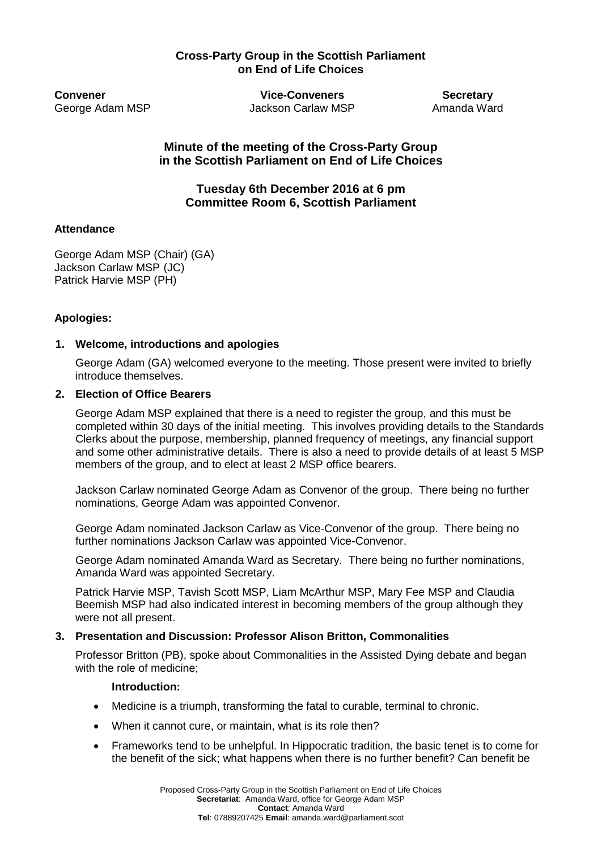### **Cross-Party Group in the Scottish Parliament on End of Life Choices**

**Convener Vice-Conveners Secretary** George Adam MSP **Jackson Carlaw MSP** Amanda Ward

**Minute of the meeting of the Cross-Party Group in the Scottish Parliament on End of Life Choices**

**Tuesday 6th December 2016 at 6 pm Committee Room 6, Scottish Parliament** 

### **Attendance**

George Adam MSP (Chair) (GA) Jackson Carlaw MSP (JC) Patrick Harvie MSP (PH)

# **Apologies:**

### **1. Welcome, introductions and apologies**

George Adam (GA) welcomed everyone to the meeting. Those present were invited to briefly introduce themselves.

### **2. Election of Office Bearers**

George Adam MSP explained that there is a need to register the group, and this must be completed within 30 days of the initial meeting. This involves providing details to the Standards Clerks about the purpose, membership, planned frequency of meetings, any financial support and some other administrative details. There is also a need to provide details of at least 5 MSP members of the group, and to elect at least 2 MSP office bearers.

Jackson Carlaw nominated George Adam as Convenor of the group. There being no further nominations, George Adam was appointed Convenor.

George Adam nominated Jackson Carlaw as Vice-Convenor of the group. There being no further nominations Jackson Carlaw was appointed Vice-Convenor.

George Adam nominated Amanda Ward as Secretary. There being no further nominations, Amanda Ward was appointed Secretary.

Patrick Harvie MSP, Tavish Scott MSP, Liam McArthur MSP, Mary Fee MSP and Claudia Beemish MSP had also indicated interest in becoming members of the group although they were not all present.

### **3. Presentation and Discussion: Professor Alison Britton, Commonalities**

Professor Britton (PB), spoke about Commonalities in the Assisted Dying debate and began with the role of medicine;

#### **Introduction:**

- Medicine is a triumph, transforming the fatal to curable, terminal to chronic.
- When it cannot cure, or maintain, what is its role then?
- Frameworks tend to be unhelpful. In Hippocratic tradition, the basic tenet is to come for the benefit of the sick; what happens when there is no further benefit? Can benefit be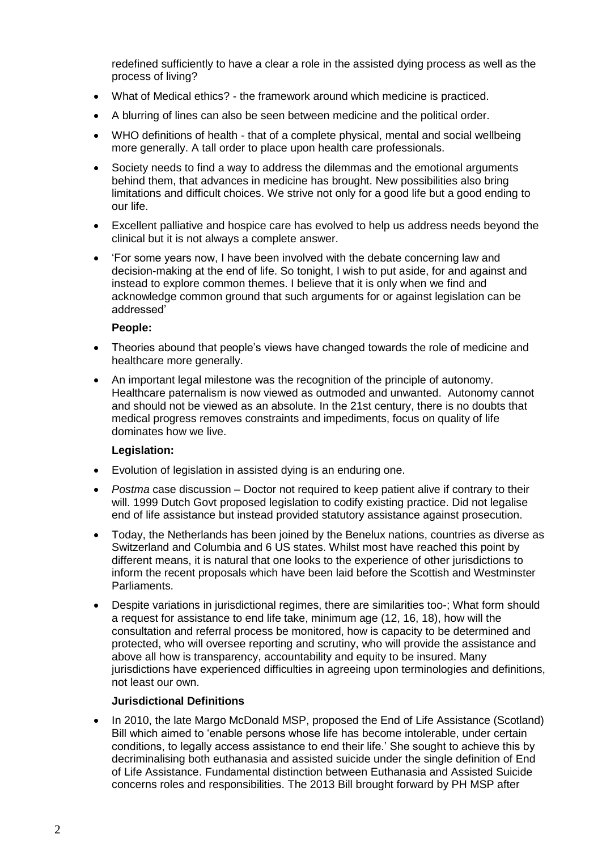redefined sufficiently to have a clear a role in the assisted dying process as well as the process of living?

- What of Medical ethics? the framework around which medicine is practiced.
- A blurring of lines can also be seen between medicine and the political order.
- WHO definitions of health that of a complete physical, mental and social wellbeing more generally. A tall order to place upon health care professionals.
- Society needs to find a way to address the dilemmas and the emotional arguments behind them, that advances in medicine has brought. New possibilities also bring limitations and difficult choices. We strive not only for a good life but a good ending to our life.
- Excellent palliative and hospice care has evolved to help us address needs beyond the clinical but it is not always a complete answer.
- 'For some years now, I have been involved with the debate concerning law and decision-making at the end of life. So tonight, I wish to put aside, for and against and instead to explore common themes. I believe that it is only when we find and acknowledge common ground that such arguments for or against legislation can be addressed'

### **People:**

- Theories abound that people's views have changed towards the role of medicine and healthcare more generally.
- An important legal milestone was the recognition of the principle of autonomy. Healthcare paternalism is now viewed as outmoded and unwanted. Autonomy cannot and should not be viewed as an absolute. In the 21st century, there is no doubts that medical progress removes constraints and impediments, focus on quality of life dominates how we live.

### **Legislation:**

- Evolution of legislation in assisted dying is an enduring one.
- *Postma* case discussion Doctor not required to keep patient alive if contrary to their will. 1999 Dutch Govt proposed legislation to codify existing practice. Did not legalise end of life assistance but instead provided statutory assistance against prosecution.
- Today, the Netherlands has been joined by the Benelux nations, countries as diverse as Switzerland and Columbia and 6 US states. Whilst most have reached this point by different means, it is natural that one looks to the experience of other jurisdictions to inform the recent proposals which have been laid before the Scottish and Westminster Parliaments.
- Despite variations in jurisdictional regimes, there are similarities too-; What form should a request for assistance to end life take, minimum age (12, 16, 18), how will the consultation and referral process be monitored, how is capacity to be determined and protected, who will oversee reporting and scrutiny, who will provide the assistance and above all how is transparency, accountability and equity to be insured. Many jurisdictions have experienced difficulties in agreeing upon terminologies and definitions, not least our own.

### **Jurisdictional Definitions**

• In 2010, the late Margo McDonald MSP, proposed the End of Life Assistance (Scotland) Bill which aimed to 'enable persons whose life has become intolerable, under certain conditions, to legally access assistance to end their life.' She sought to achieve this by decriminalising both euthanasia and assisted suicide under the single definition of End of Life Assistance. Fundamental distinction between Euthanasia and Assisted Suicide concerns roles and responsibilities. The 2013 Bill brought forward by PH MSP after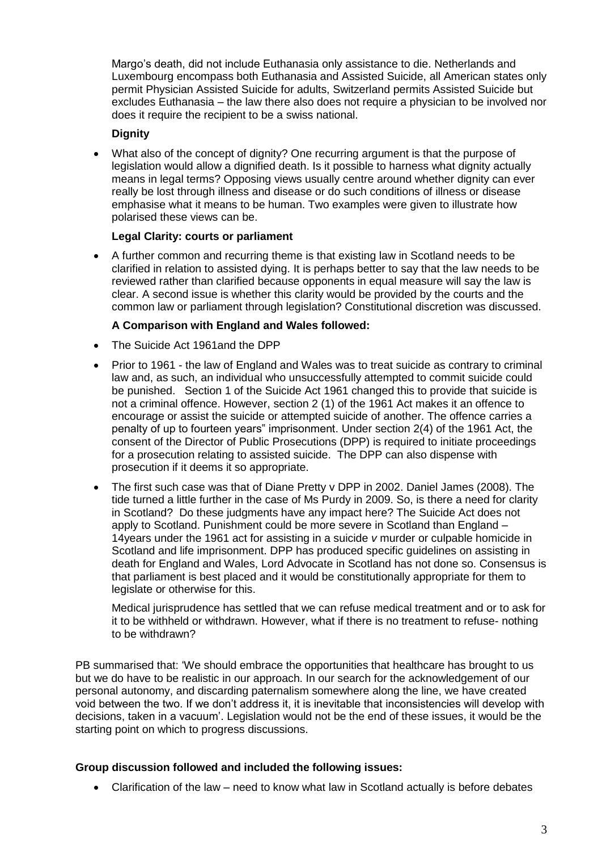Margo's death, did not include Euthanasia only assistance to die. Netherlands and Luxembourg encompass both Euthanasia and Assisted Suicide, all American states only permit Physician Assisted Suicide for adults, Switzerland permits Assisted Suicide but excludes Euthanasia – the law there also does not require a physician to be involved nor does it require the recipient to be a swiss national.

# **Dignity**

What also of the concept of dignity? One recurring argument is that the purpose of legislation would allow a dignified death. Is it possible to harness what dignity actually means in legal terms? Opposing views usually centre around whether dignity can ever really be lost through illness and disease or do such conditions of illness or disease emphasise what it means to be human. Two examples were given to illustrate how polarised these views can be.

# **Legal Clarity: courts or parliament**

 A further common and recurring theme is that existing law in Scotland needs to be clarified in relation to assisted dying. It is perhaps better to say that the law needs to be reviewed rather than clarified because opponents in equal measure will say the law is clear. A second issue is whether this clarity would be provided by the courts and the common law or parliament through legislation? Constitutional discretion was discussed.

# **A Comparison with England and Wales followed:**

- The Suicide Act 1961and the DPP
- Prior to 1961 the law of England and Wales was to treat suicide as contrary to criminal law and, as such, an individual who unsuccessfully attempted to commit suicide could be punished. Section 1 of the Suicide Act 1961 changed this to provide that suicide is not a criminal offence. However, section 2 (1) of the 1961 Act makes it an offence to encourage or assist the suicide or attempted suicide of another. The offence carries a penalty of up to fourteen years" imprisonment. Under section 2(4) of the 1961 Act, the consent of the Director of Public Prosecutions (DPP) is required to initiate proceedings for a prosecution relating to assisted suicide. The DPP can also dispense with prosecution if it deems it so appropriate.
- The first such case was that of Diane Pretty v DPP in 2002. Daniel James (2008). The tide turned a little further in the case of Ms Purdy in 2009. So, is there a need for clarity in Scotland? Do these judgments have any impact here? The Suicide Act does not apply to Scotland. Punishment could be more severe in Scotland than England – 14years under the 1961 act for assisting in a suicide *v* murder or culpable homicide in Scotland and life imprisonment. DPP has produced specific guidelines on assisting in death for England and Wales, Lord Advocate in Scotland has not done so. Consensus is that parliament is best placed and it would be constitutionally appropriate for them to legislate or otherwise for this.

Medical jurisprudence has settled that we can refuse medical treatment and or to ask for it to be withheld or withdrawn. However, what if there is no treatment to refuse- nothing to be withdrawn?

PB summarised that: 'We should embrace the opportunities that healthcare has brought to us but we do have to be realistic in our approach. In our search for the acknowledgement of our personal autonomy, and discarding paternalism somewhere along the line, we have created void between the two. If we don't address it, it is inevitable that inconsistencies will develop with decisions, taken in a vacuum'. Legislation would not be the end of these issues, it would be the starting point on which to progress discussions.

# **Group discussion followed and included the following issues:**

• Clarification of the law – need to know what law in Scotland actually is before debates